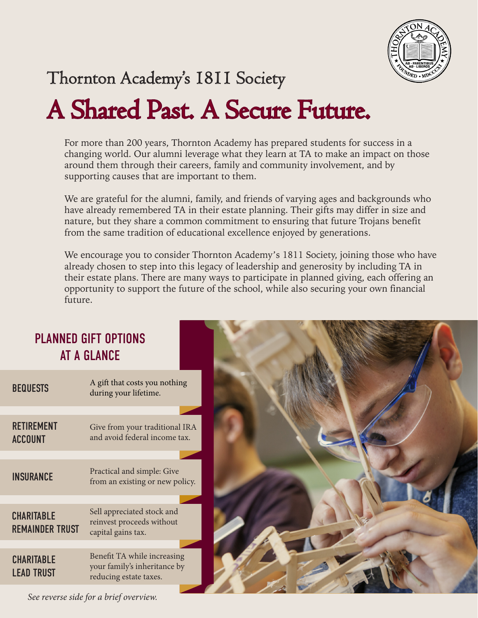

### Thornton Academy's 1811 Society

# A Shared Past. A Secure Future.

For more than 200 years, Thornton Academy has prepared students for success in a changing world. Our alumni leverage what they learn at TA to make an impact on those around them through their careers, family and community involvement, and by supporting causes that are important to them.

We are grateful for the alumni, family, and friends of varying ages and backgrounds who have already remembered TA in their estate planning. Their gifts may differ in size and nature, but they share a common commitment to ensuring that future Trojans benefit from the same tradition of educational excellence enjoyed by generations.

We encourage you to consider Thornton Academy's 1811 Society, joining those who have already chosen to step into this legacy of leadership and generosity by including TA in their estate plans. There are many ways to participate in planned giving, each offering an opportunity to support the future of the school, while also securing your own financial future.

#### PLANNED GIFT OPTIONS AT A GLANCE

| <b>BEQUESTS</b>                             | A gift that costs you nothing<br>during your lifetime.                                |  |
|---------------------------------------------|---------------------------------------------------------------------------------------|--|
|                                             |                                                                                       |  |
| <b>RETIREMENT</b><br><b>ACCOUNT</b>         | Give from your traditional IRA<br>and avoid federal income tax.                       |  |
|                                             |                                                                                       |  |
| <b>INSURANCE</b>                            | Practical and simple: Give<br>from an existing or new policy.                         |  |
|                                             |                                                                                       |  |
| <b>CHARITABLE</b><br><b>REMAINDER TRUST</b> | Sell appreciated stock and<br>reinvest proceeds without<br>capital gains tax.         |  |
|                                             |                                                                                       |  |
| <b>CHARITABLE</b><br><b>LEAD TRUST</b>      | Benefit TA while increasing<br>your family's inheritance by<br>reducing estate taxes. |  |
|                                             |                                                                                       |  |



*See reverse side for a brief overview.*